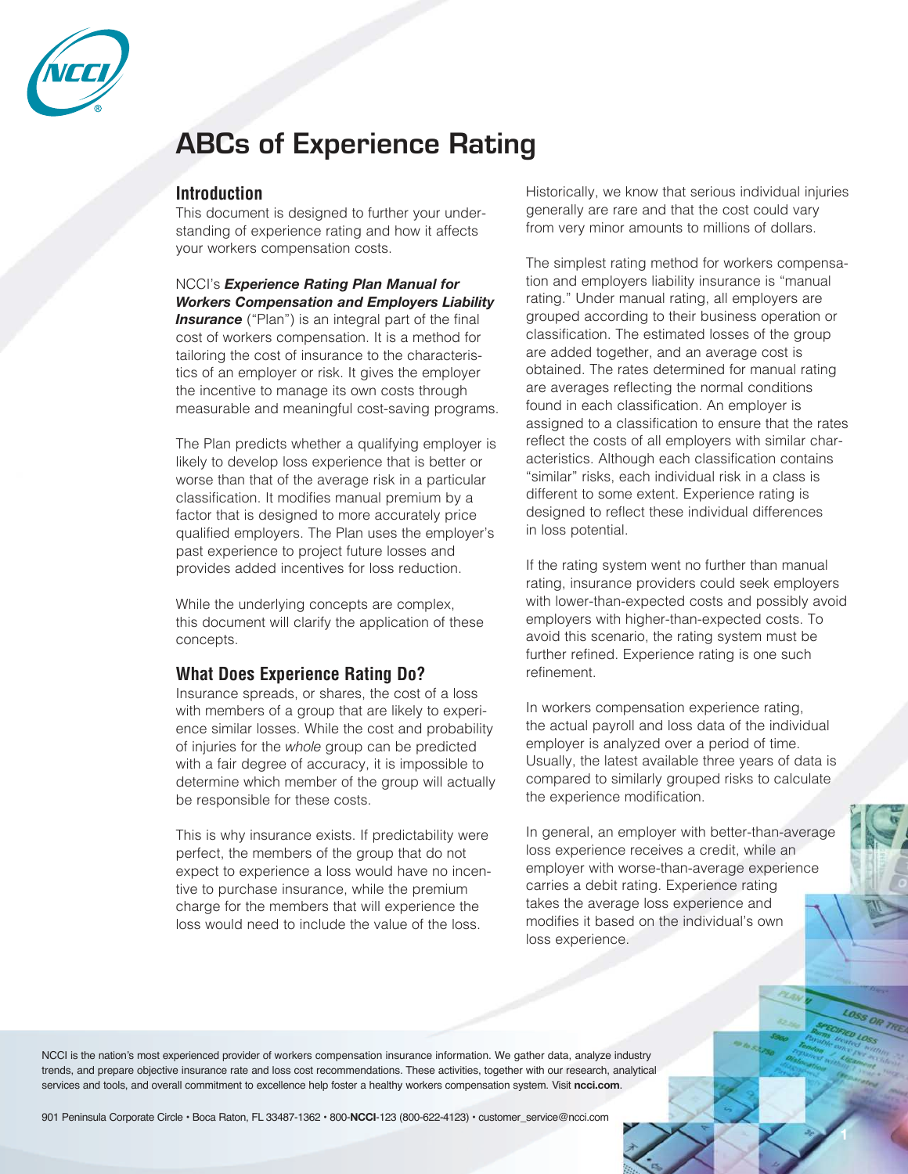

# **ABCs of Experience Rating**

### **Introduction**

This document is designed to further your understanding of experience rating and how it affects your workers compensation costs.

NCCI's*Experience Rating Plan Manual for Workers Compensation and Employers Liability* **Insurance** ("Plan") is an integral part of the final cost of workers compensation. It is a method for tailoring the cost of insurance to the characteristics of an employer or risk. It gives the employer the incentive to manage its own costs through measurable and meaningful cost-saving programs.

The Plan predicts whether a qualifying employer is likely to develop loss experience that is better or worse than that of the average risk in a particular classification. It modifies manual premium by a factor that is designed to more accurately price qualified employers. The Plan uses the employer's past experience to project future losses and provides added incentives for loss reduction.

While the underlying concepts are complex, this document will clarify the application of these concepts.

# **What Does Experience Rating Do?**

Insurance spreads, or shares, the cost of a loss with members of a group that are likely to experience similar losses. While the cost and probability of injuries for the *whole* group can be predicted with a fair degree of accuracy, it is impossible to determine which member of the group will actually be responsible for these costs.

This is why insurance exists. If predictability were perfect, the members of the group that do not expect to experience a loss would have no incentive to purchase insurance, while the premium charge for the members that will experience the loss would need to include the value of the loss.

Historically, we know that serious individual injuries generally are rare and that the cost could vary from very minor amounts to millions of dollars.

The simplest rating method for workers compensation and employers liability insurance is "manual rating." Under manual rating, all employers are grouped according to their business operation or classification. The estimated losses of the group are added together, and an average cost is obtained. The rates determined for manual rating are averages reflecting the normal conditions found in each classification. An employer is assigned to a classification to ensure that the rates reflect the costs of all employers with similar characteristics. Although each classification contains "similar" risks, each individual risk in a class is different to some extent. Experience rating is designed to reflect these individual differences in loss potential.

If the rating system went no further than manual rating, insurance providers could seek employers with lower-than-expected costs and possibly avoid employers with higher-than-expected costs. To avoid this scenario, the rating system must be further refined. Experience rating is one such refinement.

In workers compensation experience rating, the actual payroll and loss data of the individual employer is analyzed over a period of time. Usually, the latest available three years of data is compared to similarly grouped risks to calculate the experience modification.

In general, an employer with better-than-average loss experience receives a credit, while an employer with worse-than-average experience carries a debit rating. Experience rating takes the average loss experience and modifies it based on the individual's own loss experience.

NCCI is the nation's most experienced provider of workers compensation insurance information. We gather data, analyze industry trends, and prepare objective insurance rate and loss cost recommendations. These activities, together with our research, analytical services and tools, and overall commitment to excellence help foster a healthy workers compensation system. Visit **ncci.com**.

901 Peninsula Corporate Circle • Boca Raton, FL 33487-1362 • 800-**NCCI**-123 (800-622-4123) • customer\_service@ncci.com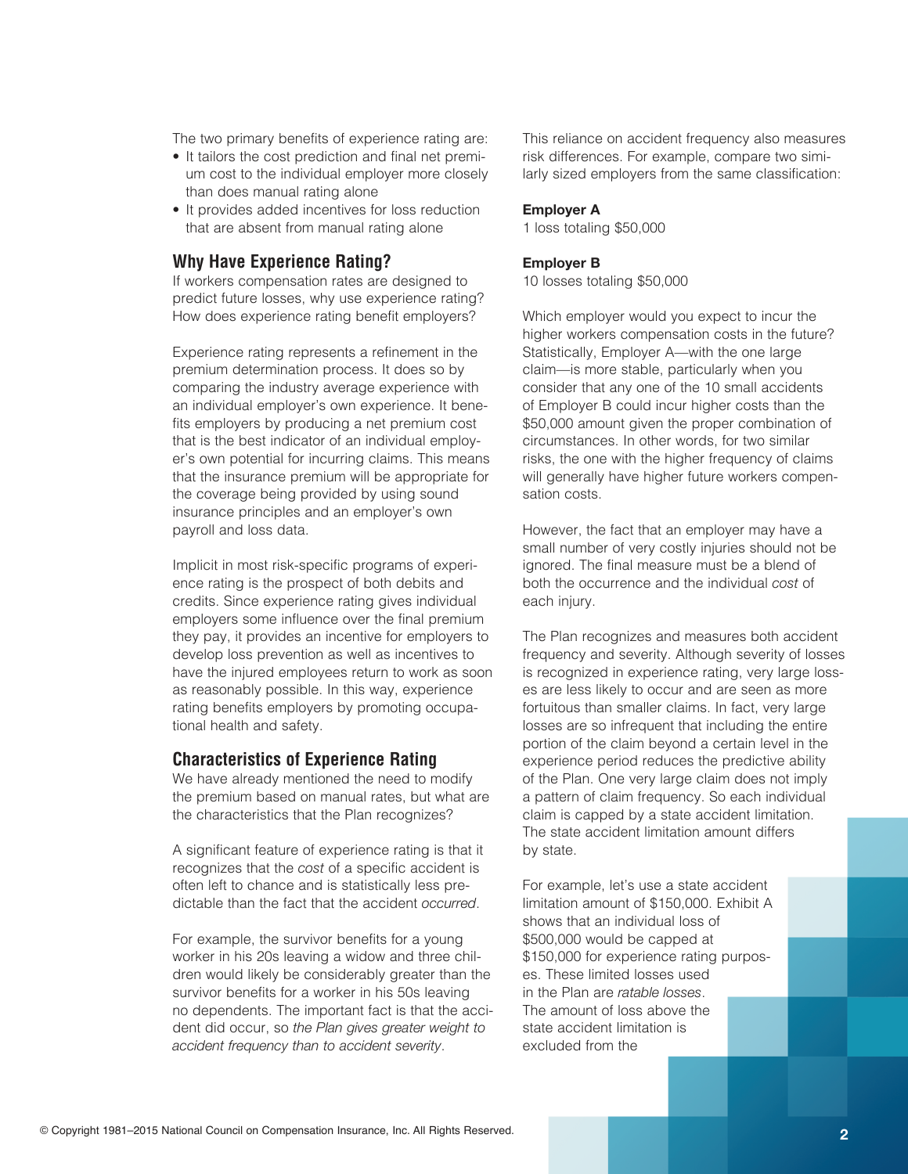The two primary benefits of experience rating are:

- It tailors the cost prediction and final net premium cost to the individual employer more closely than does manual rating alone
- It provides added incentives for loss reduction that are absent from manual rating alone

### **Why Have Experience Rating?**

If workers compensation rates are designed to predict future losses, why use experience rating? How does experience rating benefit employers?

Experience rating represents a refinement in the premium determination process. It does so by comparing the industry average experience with an individual employer's own experience. It benefits employers by producing a net premium cost that is the best indicator of an individual employer's own potential for incurring claims. This means that the insurance premium will be appropriate for the coverage being provided by using sound insurance principles and an employer's own payroll and loss data.

Implicit in most risk-specific programs of experience rating is the prospect of both debits and credits. Since experience rating gives individual employers some influence over the final premium they pay, it provides an incentive for employers to develop loss prevention as well as incentives to have the injured employees return to work as soon as reasonably possible. In this way, experience rating benefits employers by promoting occupational health and safety.

#### **Characteristics of Experience Rating**

We have already mentioned the need to modify the premium based on manual rates, but what are the characteristics that the Plan recognizes?

A significant feature of experience rating is that it recognizes that the cost of a specific accident is often left to chance and is statistically less predictable than the fact that the accident *occurred*.

For example, the survivor benefits for a young worker in his 20s leaving a widow and three children would likely be considerably greater than the survivor benefits for a worker in his 50s leaving no dependents. The important fact is that the accident did occur, so the Plan gives greater weight to *accident frequency than to accident severity*.

This reliance on accident frequency also measures risk differences. For example, compare two similarly sized employers from the same classification:

#### **Employer A**

1losstotaling\$50,000

#### **Employer B**

10 losses totaling \$50,000

Which employer would you expect to incur the higher workers compensation costs in the future? Statistically, Employer A—with the one large claim—is more stable, particularly when you consider that any one of the 10 small accidents of Employer B could incur higher costs than the \$50,000 amount given the proper combination of circumstances. In other words, for two similar risks, the one with the higher frequency of claims will generally have higher future workers compensation costs.

However, the fact that an employer may have a small number of very costly injuries should not be ignored. The final measure must be a blend of both the occurrence and the individual cost of each injury.

The Plan recognizes and measures both accident frequency and severity. Although severity of losses is recognized in experience rating, very large losses are less likely to occur and are seen as more fortuitous than smaller claims. In fact, very large losses are so infrequent that including the entire portion of the claim beyond a certain level in the experience period reduces the predictive ability of the Plan. One very large claim does not imply a pattern of claim frequency. So each individual claim is capped by a state accident limitation. The state accident limitation amount differs by state.

For example, let's use a state accident limitation amount of \$150,000. Exhibit A shows that an individual loss of \$500,000 would be capped at \$150,000 for experience rating purposes. These limited losses used in the Plan are *ratable losses*. The amount of loss above the state accident limitation is excluded from the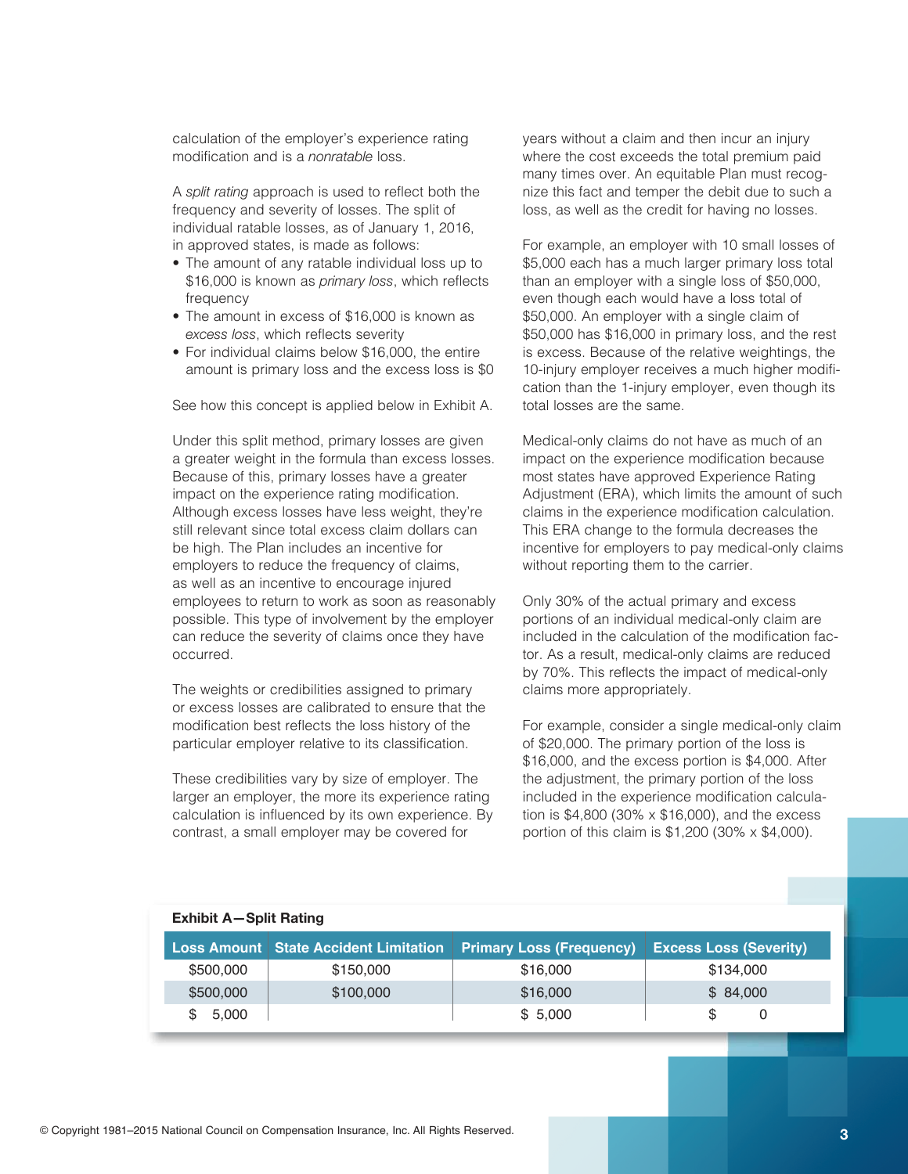calculation of the employer's experience rating modification and is a *nonratable* loss.

A *split rating* approach is used to reflect both the frequency and severity of losses. The split of individual ratable losses, as of January 1, 2016, in approved states, is made as follows:

- The amount of any ratable individual loss up to \$16,000 is known as *primary loss*, which reflects frequency
- The amount in excess of \$16,000 is known as excess loss, which reflects severity
- For individual claims below \$16,000, the entire amount is primary loss and the excess loss is \$0

See how this concept is applied below in Exhibit A.

Under this split method, primary losses are given a greater weight in the formula than excess losses. Because of this, primary losses have a greater impact on the experience rating modification. Although excess losses have less weight, they're still relevant since total excess claim dollars can be high. The Plan includes an incentive for employers to reduce the frequency of claims, as well as an incentive to encourage injured employees to return to work as soon as reasonably possible. This type of involvement by the employer can reduce the severity of claims once they have occurred.

The weights or credibilities assigned to primary or excess losses are calibrated to ensure that the modification best reflects the loss history of the particular employer relative to its classification.

These credibilities vary by size of employer. The larger an employer, the more its experience rating calculation is influenced by its own experience. By contrast, a small employer may be covered for

years without a claim and then incur an injury where the cost exceeds the total premium paid many times over. An equitable Plan must recognize this fact and temper the debit due to such a loss, as well as the credit for having no losses.

For example, an employer with 10 small losses of \$5,000 each has a much larger primary loss total than an employer with a single loss of \$50,000, even though each would have a loss total of \$50,000. An employer with a single claim of \$50,000 has \$16,000 in primary loss, and the rest is excess. Because of the relative weightings, the 10-injury employer receives a much higher modification than the 1-injury employer, even though its total losses are the same.

Medical-only claims do not have as much of an impact on the experience modification because most states have approved Experience Rating Adjustment (ERA), which limits the amount of such claims in the experience modification calculation. This ERA change to the formula decreases the incentive for employers to pay medical-only claims without reporting them to the carrier.

Only 30% of the actual primary and excess portions of an individual medical-only claim are included in the calculation of the modification factor. As a result, medical-only claims are reduced by 70%. This reflects the impact of medical-only claims more appropriately.

For example, consider a single medical-only claim of \$20,000. The primary portion of the loss is  $$16,000$ , and the excess portion is  $$4,000$ . After the adjustment, the primary portion of the loss included in the experience modification calculation is  $$4,800$  (30% x  $$16,000$ ), and the excess portion of this claim is  $$1,200$  (30% x  $$4,000$ ).

| Exhibit A-Split Rating |                                                |                                 |                               |  |  |  |
|------------------------|------------------------------------------------|---------------------------------|-------------------------------|--|--|--|
|                        | <b>Loss Amount   State Accident Limitation</b> | <b>Primary Loss (Frequency)</b> | <b>Excess Loss (Severity)</b> |  |  |  |
| \$500,000              | \$150,000                                      | \$16,000                        | \$134,000                     |  |  |  |
| \$500,000              | \$100,000                                      | \$16,000                        | \$84,000                      |  |  |  |
| 5.000<br>\$.           |                                                | \$5.000                         | \$.<br>0                      |  |  |  |

#### **Exhibit A—Split Rating**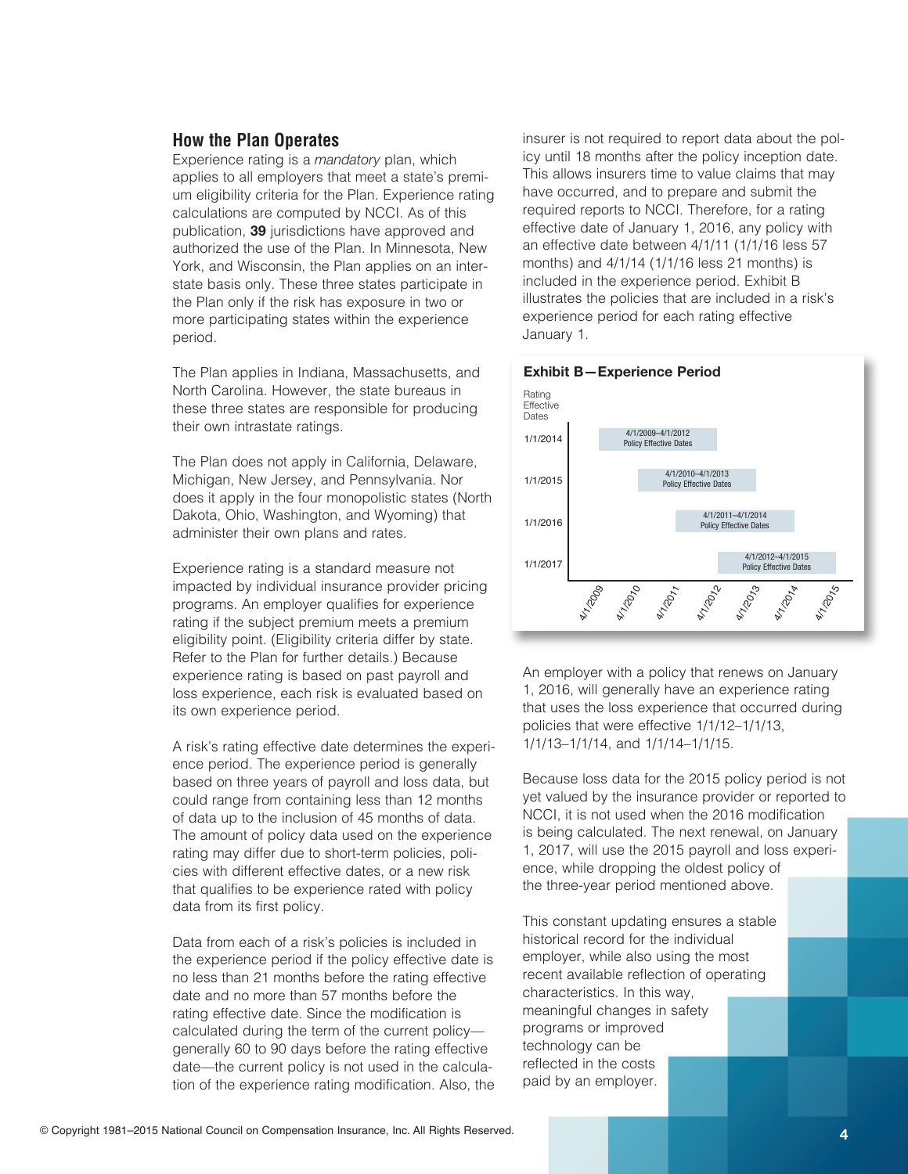# **How the Plan Operates**

Experience rating is a *mandatory* plan, which applies to all employers that meet a state's premium eligibility criteria for the Plan. Experience rating calculations are computed by NCCI. As of this publication, 39 jurisdictions have approved and authorized the use of the Plan. In Minnesota, New York, and Wisconsin, the Plan applies on an interstate basis only. These three states participate in the Plan only if the risk has exposure in two or more participating states within the experience period.

The Plan applies in Indiana, Massachusetts, and North Carolina. However, the state bureaus in these three states are responsible for producing their own intrastate ratings.

The Plan does not apply in California, Delaware, Michigan, New Jersey, and Pennsylvania. Nor does it apply in the four monopolistic states (North Dakota, Ohio, Washington, and Wyoming) that administer their own plans and rates.

Experience rating is a standard measure not impacted by individual insurance provider pricing programs. An employer qualifies for experience rating if the subject premium meets a premium eligibility point. (Eligibility criteria differ by state. Refer to the Plan for further details.) Because experience rating is based on past payroll and loss experience, each risk is evaluated based on its own experience period.

A risk's rating effective date determines the experience period. The experience period is generally based on three years of payroll and loss data, but could range from containing less than 12 months of data up to the inclusion of 45 months of data. The amount of policy data used on the experience rating may differ due to short-term policies, policies with different effective dates, or a new risk that qualifies to be experience rated with policy data from its first policy.

Data from each of a risk's policies is included in the experience period if the policy effective date is no less than 21 months before the rating effective date and no more than 57 months before the rating effective date. Since the modification is calculated during the term of the current policy generally 60 to 90 days before the rating effective date—the current policy is not used in the calculation of the experience rating modification. Also, the

insurer is not required to report data about the policy until 18 months after the policy inception date. This allows insurers time to value claims that may have occurred, and to prepare and submit the required reports to NCCI. Therefore, for a rating effective date of January 1, 2016, any policy with an effective date between 4/1/11 (1/1/16 less 57 months) and  $4/1/14$  ( $1/1/16$  less 21 months) is included in the experience period. Exhibit B illustrates the policies that are included in a risk's experience period for each rating effective January 1.



An employer with a policy that renews on January 1, 2016, will generally have an experience rating that uses the loss experience that occurred during policies that were effective 1/1/12–1/1/13, 1/1/13–1/1/14, and 1/1/14–1/1/15.

Because loss data for the 2015 policy period is not yet valued by the insurance provider or reported to NCCI, it is not used when the 2016 modification is being calculated. The next renewal, on January 1, 2017, will use the 2015 payroll and loss experience, while dropping the oldest policy of the three-year period mentioned above.

This constant updating ensures a stable historical record for the individual employer, while also using the most recent available reflection of operating characteristics. In this way, meaningful changes in safety programs or improved technology can be reflected in the costs paid by an employer.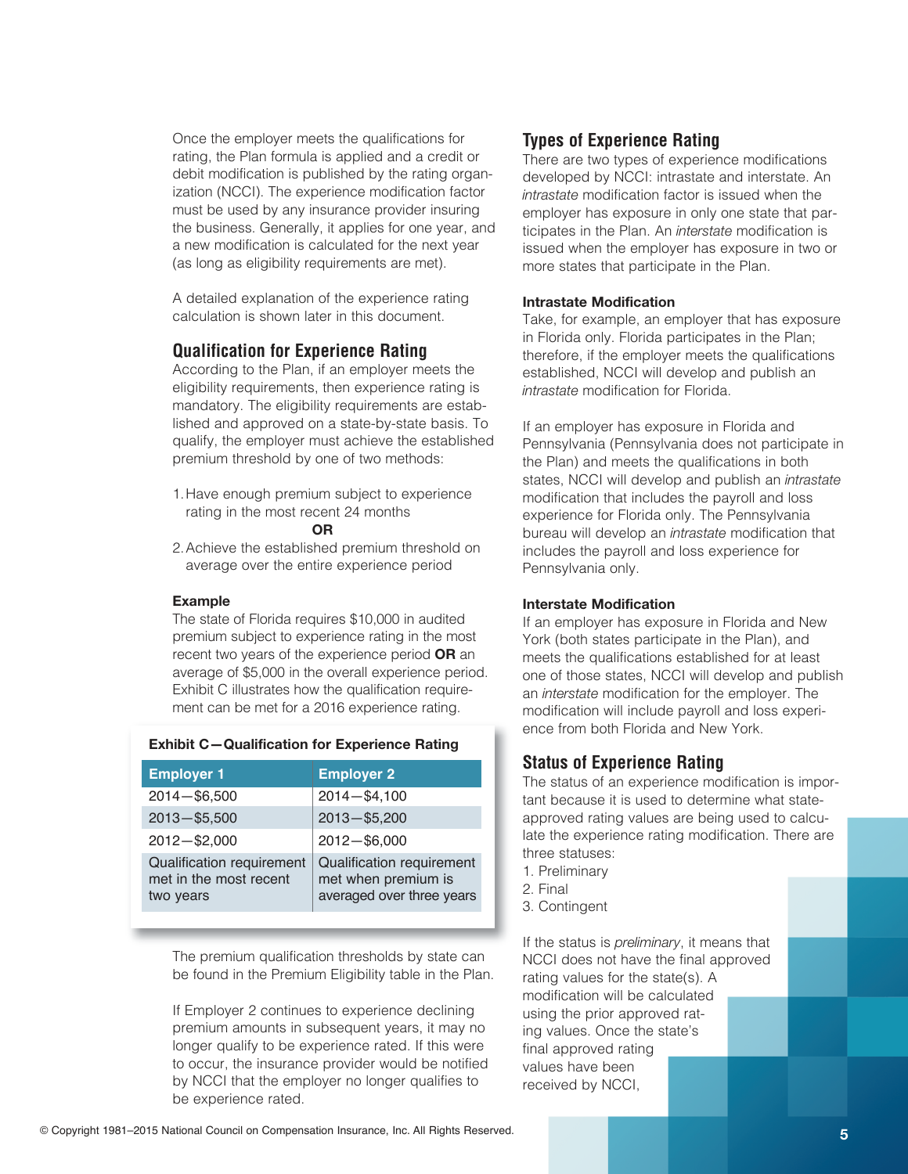Once the employer meets the qualifications for rating, the Plan formula is applied and a credit or debit modification is published by the rating organization (NCCI). The experience modification factor must be used by any insurance provider insuring the business. Generally, it applies for one year, and a new modification is calculated for the next year (as long as eligibility requirements are met).

A detailed explanation of the experience rating calculation is shown later in this document.

# **Qualification for Experience Rating**

According to the Plan, if an employer meets the eligibility requirements, then experience rating is mandatory. The eligibility requirements are established and approved on a state-by-state basis. To qualify, the employer must achieve the established premium threshold by one of two methods:

1. Have enough premium subject to experience rating in the most recent 24 months

#### **OR**

2. Achieve the established premium threshold on average over the entire experience period

#### **Example**

The state of Florida requires \$10,000 in audited premium subject to experience rating in the most recent two years of the experience period **OR** an average of \$5,000 in the overall experience period. Exhibit C illustrates how the qualification requirement can be met for a 2016 experience rating.

| <b>Employer 1</b>                                                | <b>Employer 2</b>                                                             |  |  |  |  |
|------------------------------------------------------------------|-------------------------------------------------------------------------------|--|--|--|--|
| $2014 - $6,500$                                                  | $2014 - $4,100$                                                               |  |  |  |  |
| $2013 - $5,500$                                                  | $2013 - $5,200$                                                               |  |  |  |  |
| $2012 - $2,000$                                                  | $2012 - $6,000$                                                               |  |  |  |  |
| Qualification requirement<br>met in the most recent<br>two years | Qualification requirement<br>met when premium is<br>averaged over three years |  |  |  |  |

# **Exhibit C—Qualification for Experience Rating**

The premium qualification thresholds by state can be found in the Premium Eligibility table in the Plan.

If Employer 2 continues to experience declining premium amounts in subsequent years, it may no longer qualify to be experience rated. If this were to occur, the insurance provider would be notified by NCCI that the employer no longer qualifies to be experience rated.

# **Types of Experience Rating**

There are two types of experience modifications developed by NCCI: intrastate and interstate. An *intrastate* modification factor is issued when the employer has exposure in only one state that participates in the Plan. An *interstate* modification is issued when the employer has exposure in two or more states that participate in the Plan.

#### **Intrastate Modification**

Take, for example, an employer that has exposure in Florida only. Florida participates in the Plan; therefore, if the employer meets the qualifications established, NCCI will develop and publish an *intrastate* modification for Florida.

If an employer has exposure in Florida and Pennsylvania (Pennsylvania does not participate in the Plan) and meets the qualifications in both states, NCCI will develop and publish an *intrastate* modification that includes the payroll and loss experience for Florida only. The Pennsylvania bureau will develop an *intrastate* modification that includes the payroll and loss experience for Pennsylvania only.

#### **Interstate Modification**

If an employer has exposure in Florida and New York (both states participate in the Plan), and meets the qualifications established for at least one of those states, NCCI will develop and publish an *interstate* modification for the employer. The modification will include payroll and loss experience from both Florida and New York.

# **Status of Experience Rating**

The status of an experience modification is important because it is used to determine what stateapproved rating values are being used to calculate the experience rating modification. There are three statuses:

- 1.Preliminary
- 2.Final
- 3.Contingent

If the status is *preliminary*, it means that NCCI does not have the final approved rating values for the state(s).  $A$ modification will be calculated using the prior approved rating values. Once the state's final approved rating values have been received by NCCI,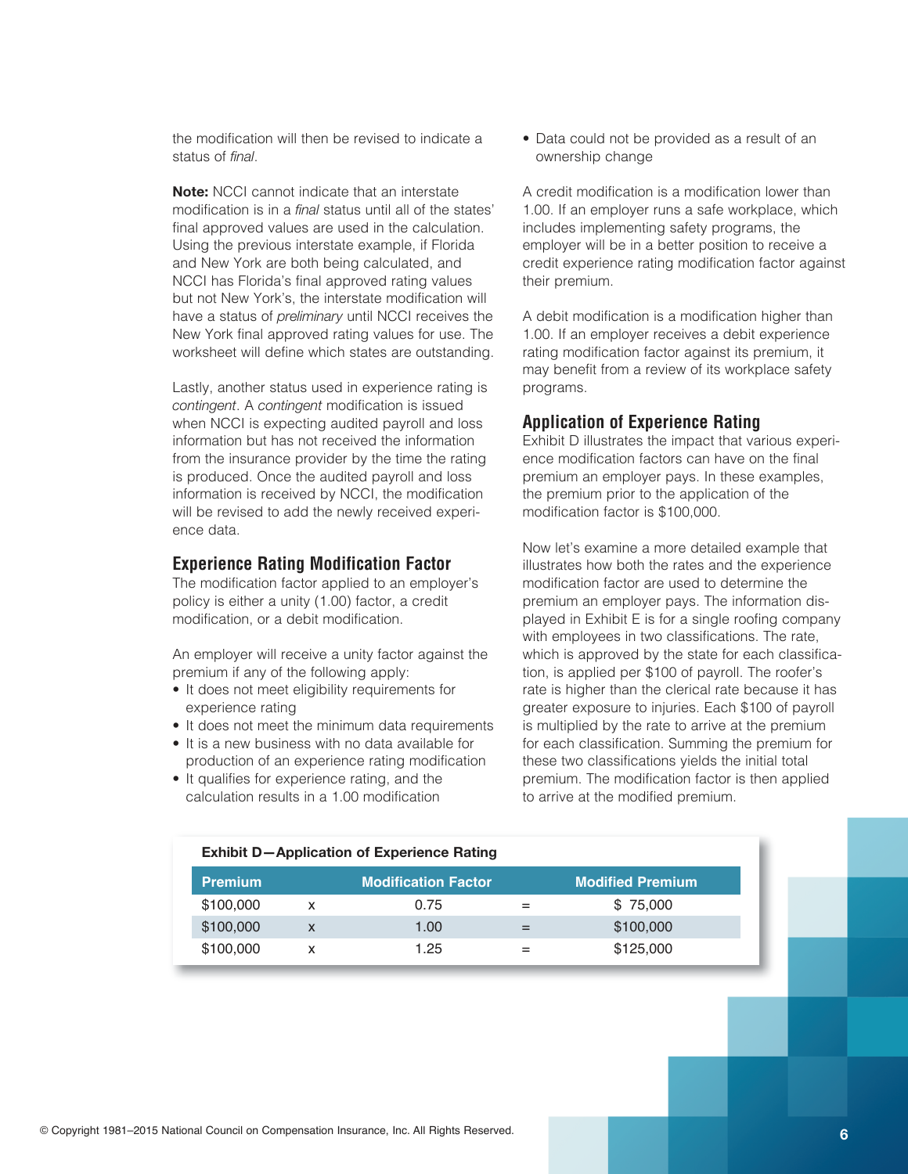the modification will then be revised to indicate a status of *final*.

**Note:** NCCI cannot indicate that an interstate modification is in a *final* status until all of the states' final approved values are used in the calculation. Using the previous interstate example, if Florida and New York are both being calculated, and NCCI has Florida's final approved rating values but not New York's, the interstate modification will have a status of *preliminary* until NCCI receives the New York final approved rating values for use. The worksheet will define which states are outstanding.

Lastly, another status used in experience rating is *contingent.* A *contingent* modification is issued when NCCI is expecting audited payroll and loss information but has not received the information from the insurance provider by the time the rating is produced. Once the audited payroll and loss information is received by NCCI, the modification will be revised to add the newly received experience data.

### **Experience Rating Modification Factor**

The modification factor applied to an employer's policy is either a unity (1.00) factor, a credit modification, or a debit modification.

An employer will receive a unity factor against the premium if any of the following apply:

- It does not meet eligibility requirements for experience rating
- It does not meet the minimum data requirements
- It is a new business with no data available for production of an experience rating modification
- It qualifies for experience rating, and the calculation results in a 1.00 modification

• Data could not be provided as a result of an ownership change

A credit modification is a modification lower than 1.00. If an employer runs a safe workplace, which includes implementing safety programs, the employer will be in a better position to receive a credit experience rating modification factor against their premium.

A debit modification is a modification higher than 1.00. If an employer receives a debit experience rating modification factor against its premium, it may benefit from a review of its workplace safety programs.

#### **Application of Experience Rating**

Exhibit D illustrates the impact that various experience modification factors can have on the final premium an employer pays. In these examples, the premium prior to the application of the modification factor is \$100,000.

Now let's examine a more detailed example that illustrates how both the rates and the experience modification factor are used to determine the premium an employer pays. The information displayed in Exhibit E is for a single roofing company with employees in two classifications. The rate, which is approved by the state for each classification, is applied per \$100 of payroll. The roofer's rate is higher than the clerical rate because it has greater exposure to injuries. Each \$100 of payroll is multiplied by the rate to arrive at the premium for each classification. Summing the premium for these two classifications yields the initial total premium. The modification factor is then applied to arrive at the modified premium.

| <b>Exhibit D-Application of Experience Rating</b> |   |                            |     |                         |  |  |  |  |
|---------------------------------------------------|---|----------------------------|-----|-------------------------|--|--|--|--|
| <b>Premium</b>                                    |   | <b>Modification Factor</b> |     | <b>Modified Premium</b> |  |  |  |  |
| \$100,000                                         | x | 0.75                       |     | \$75,000                |  |  |  |  |
| \$100,000                                         | X | 1.00                       | $=$ | \$100,000               |  |  |  |  |
| \$100,000                                         | x | 1.25                       |     | \$125,000               |  |  |  |  |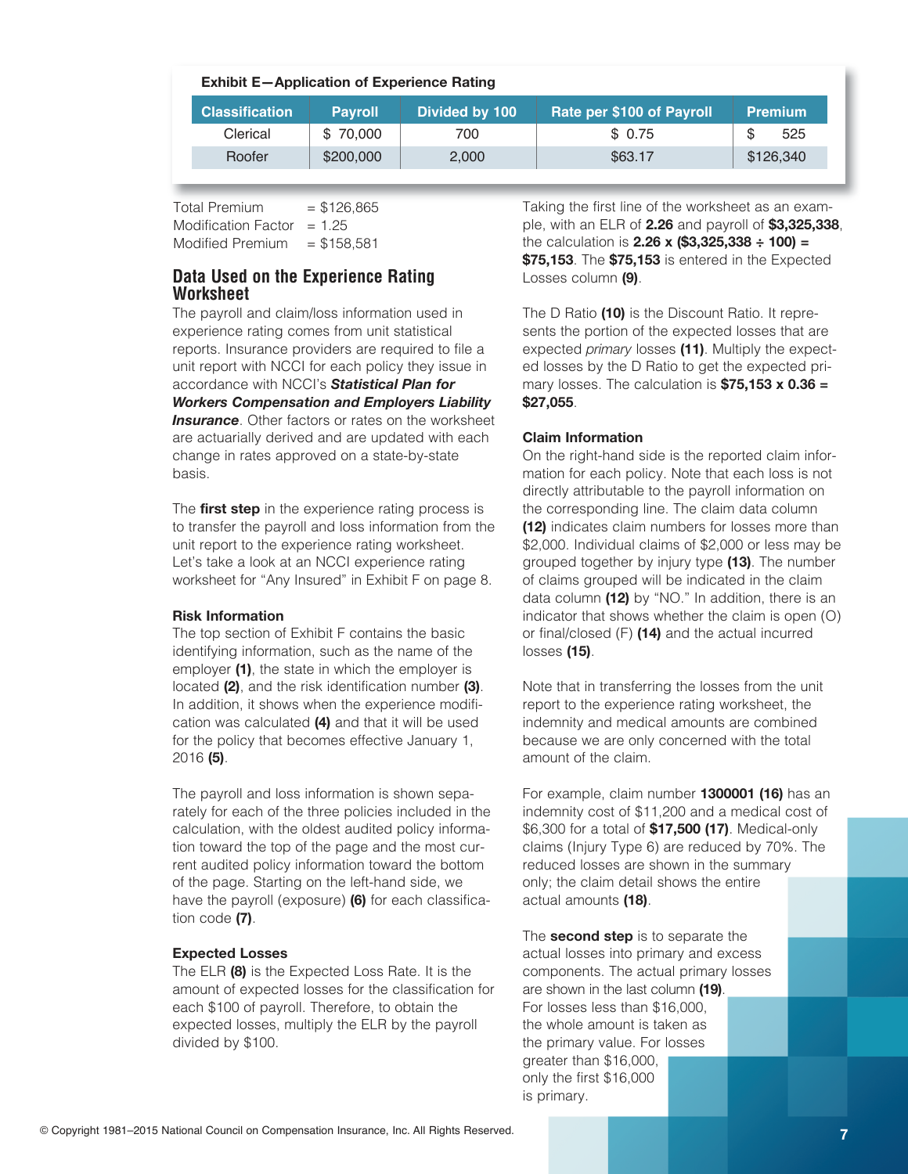| <b>Exhibit E-Application of Experience Rating</b> |                |                |                           |                |  |  |  |
|---------------------------------------------------|----------------|----------------|---------------------------|----------------|--|--|--|
| <b>Classification</b>                             | <b>Payroll</b> | Divided by 100 | Rate per \$100 of Payroll | <b>Premium</b> |  |  |  |
| Clerical                                          | \$70,000       | 700            | \$0.75                    | 525<br>S       |  |  |  |
| Roofer                                            | \$200,000      | 2,000          | \$63.17                   | \$126,340      |  |  |  |

 $Total Premium = $126.865$ Modification Factor  $= 1.25$ Modified Premium  $= $158.581$ 

# **Data Used on the Experience Rating Worksheet**

The payroll and claim/loss information used in experience rating comes from unit statistical reports. Insurance providers are required to file a unit report with NCCI for each policy they issue in accordance with NCCI's **Statistical Plan for** *Workers Compensation and Employers Liability* **Insurance**. Other factors or rates on the worksheet are actuarially derived and are updated with each change in rates approved on a state-by-state basis.

The **first step** in the experience rating process is to transfer the payroll and loss information from the unit report to the experience rating worksheet. Let's take a look at an NCCI experience rating worksheet for "Any Insured" in Exhibit F on page 8.

#### **Risk Information**

The top section of Exhibit F contains the basic identifying information, such as the name of the employer (1), the state in which the employer is located (2), and the risk identification number (3). In addition, it shows when the experience modification was calculated (4) and that it will be used for the policy that becomes effective January 1, 2016**(5)**.

The payroll and loss information is shown separately for each of the three policies included in the calculation, with the oldest audited policy information toward the top of the page and the most current audited policy information toward the bottom of the page. Starting on the left-hand side, we have the payroll (exposure) **(6)** for each classification code (7).

# **Expected Losses**

The ELR (8) is the Expected Loss Rate. It is the amount of expected losses for the classification for each \$100 of payroll. Therefore, to obtain the expected losses, multiply the ELR by the payroll divided by \$100.

Taking the first line of the worksheet as an example,withanELRof**2.26** andpayrollof**\$3,325,338**, thecalculationis**2.26 x (\$3,325,338 ÷ 100) = \$75,153**. The **\$75,153** is entered in the Expected Losses column (9).

The D Ratio (10) is the Discount Ratio. It represents the portion of the expected losses that are expected *primary* losses (11). Multiply the expected losses by the D Ratio to get the expected primary losses. The calculation is **\$75,153 x 0.36 = \$27,055**.

# **Claim Information**

On the right-hand side is the reported claim information for each policy. Note that each loss is not directly attributable to the payroll information on the corresponding line. The claim data column **(12)** indicates claim numbers for losses more than \$2,000. Individual claims of \$2,000 or less may be grouped together by injury type (13). The number of claims grouped will be indicated in the claim data column (12) by "NO." In addition, there is an indicator that shows whether the claim is open  $(O)$ or final/closed (F) (14) and the actual incurred losses**(15)**.

Note that in transferring the losses from the unit report to the experience rating worksheet, the indemnity and medical amounts are combined because we are only concerned with the total amount of the claim.

For example, claim number **1300001 (16)** has an indemnity cost of \$11,200 and a medical cost of \$6,300 for a total of **\$17,500 (17)**. Medical-only claims (Injury Type 6) are reduced by 70%. The reduced losses are shown in the summary only; the claim detail shows the entire actual amounts (18).

The **second step** is to separate the actual losses into primary and excess components. The actual primary losses are shown in the last column (19). For losses less than \$16,000, the whole amount is taken as the primary value. For losses greater than \$16,000, only the first \$16,000 is primary.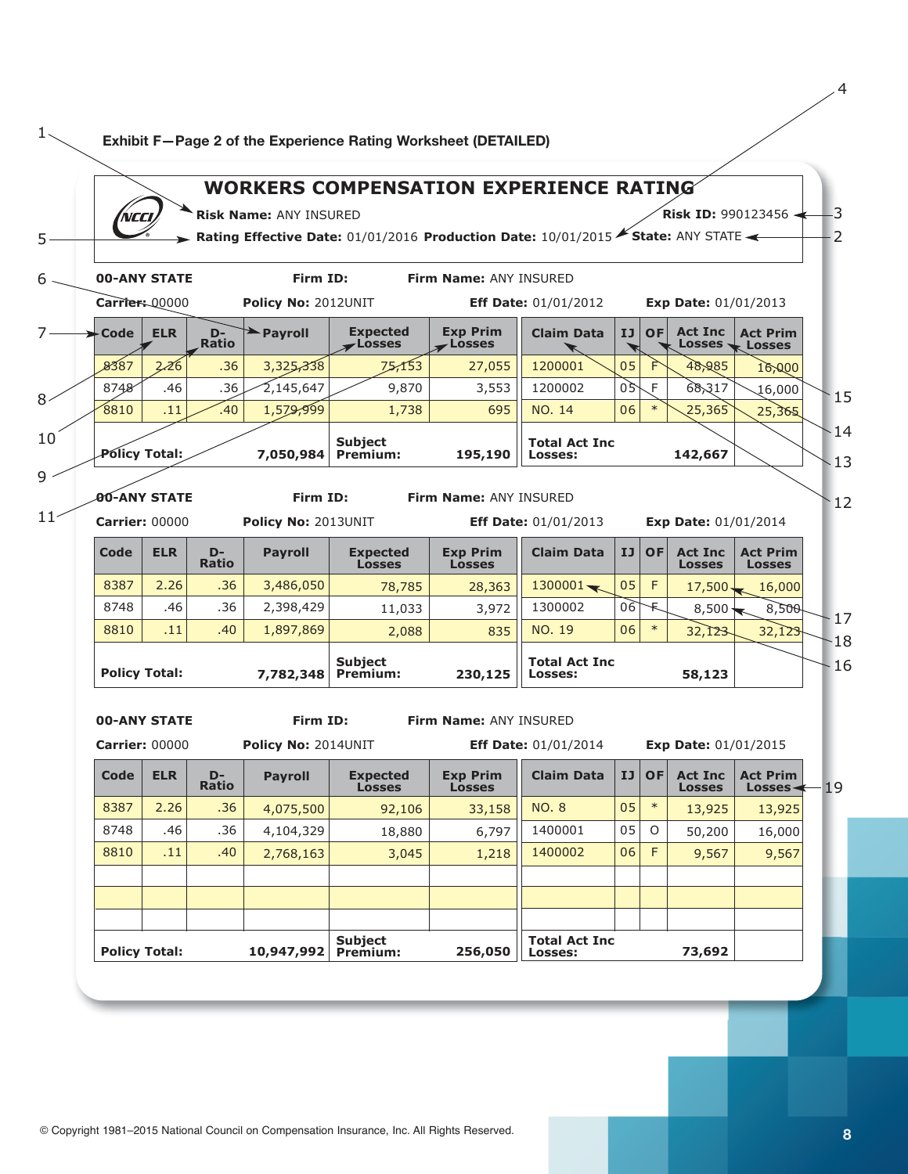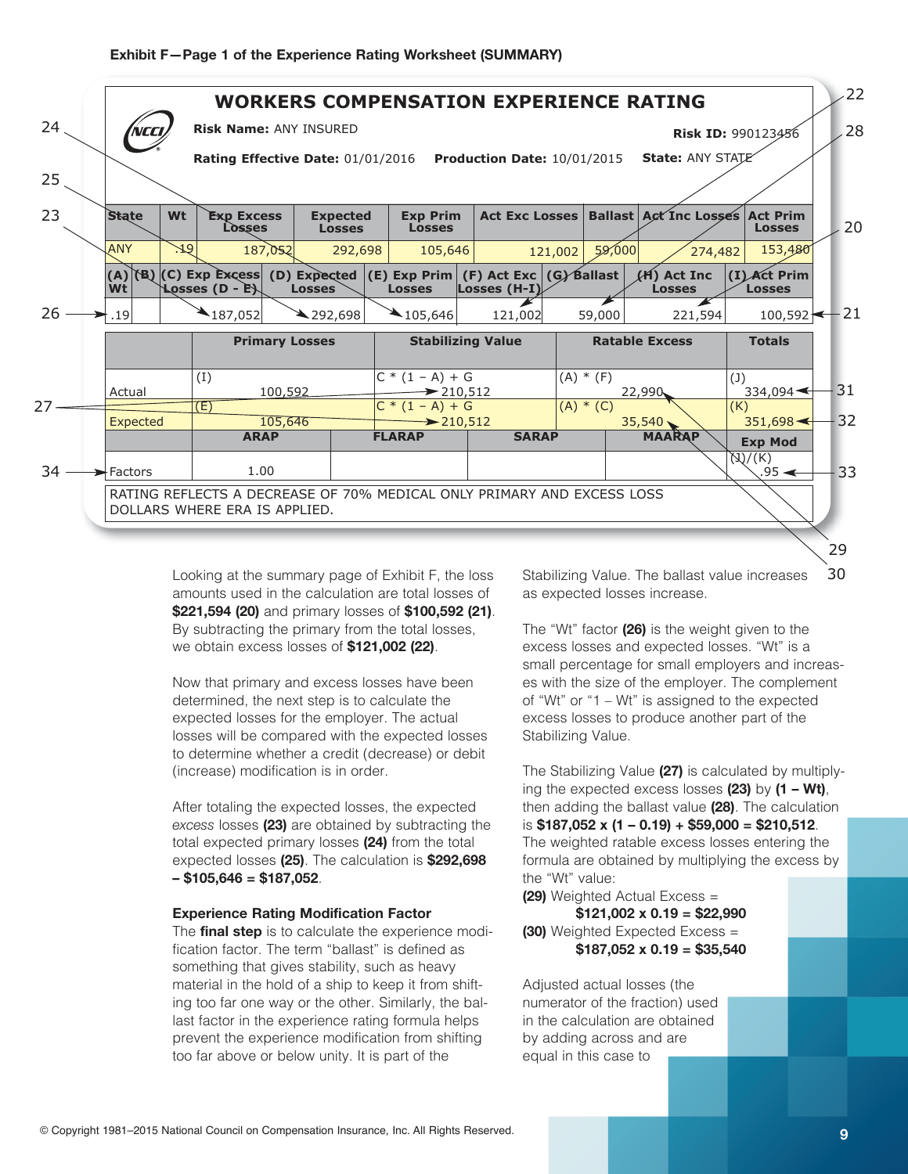

Looking at the summary page of Exhibit F, the loss amounts used in the calculation are total losses of **\$221,594 (20)** and primary losses of **\$100,592 (21)**. By subtracting the primary from the total losses, weobtainexcesslossesof**\$121,002 (22)**.

Now that primary and excess losses have been determined, the next step is to calculate the expected losses for the employer. The actual losses will be compared with the expected losses to determine whether a credit (decrease) or debit (increase) modification is in order.

After totaling the expected losses, the expected excess losses (23) are obtained by subtracting the total expected primary losses (24) from the total expected losses (25). The calculation is **\$292,698 – \$105,646 = \$187,052**.

#### **Experience Rating Modification Factor**

The **final step** is to calculate the experience modification factor. The term "ballast" is defined as something that gives stability, such as heavy material in the hold of a ship to keep it from shifting too far one way or the other. Similarly, the ballast factor in the experience rating formula helps prevent the experience modification from shifting too far above or below unity. It is part of the

30 Stabilizing Value. The ballast value increases as expected losses increase.

The "Wt" factor (26) is the weight given to the excess losses and expected losses. "Wt" is a small percentage for small employers and increases with the size of the employer. The complement of "Wt" or "1 – Wt" is assigned to the expected excess losses to produce another part of the Stabilizing Value.

The Stabilizing Value (27) is calculated by multiplying the expected excess losses (23) by (1 – Wt), then adding the ballast value (28). The calculation is**\$187,052 x (1 – 0.19) + \$59,000 = \$210,512**. The weighted ratable excess losses entering the formula are obtained by multiplying the excess by the "Wt" value:

**(29)** Weighted Actual Excess = **\$121,002 x 0.19 = \$22,990 (30)** Weighted Expected Excess =

**\$187,052 x 0.19 = \$35,540**

Adjusted actual losses (the numerator of the fraction) used in the calculation are obtained by adding across and are equal in this case to